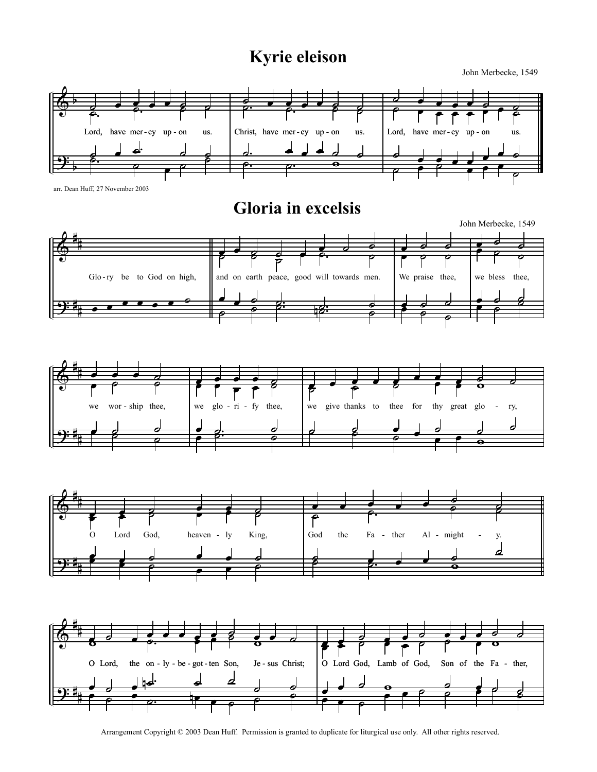## Kyrie eleison

John Merbecke, 1549



Arrangement Copyright © 2003 Dean Huff. Permission is granted to duplicate for liturgical use only. All other rights reserved.